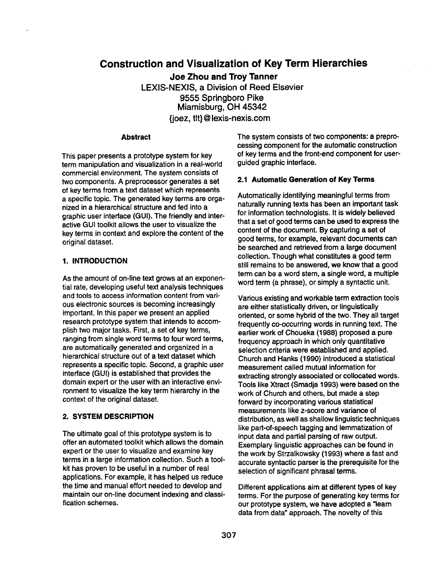# **Construction and Visualization of Key Term Hierarchies**

**Joe Zhou and Troy Tanner**  LEXIS-NEXIS, a Division of Reed Elsevier 9555 Springboro Pike Miamisburg, OH 45342 {joez, tit} @ lexis-nexis.com

#### **Abstract**

This paper presents a prototype system for key term manipulation and visualization in a real-world commercial environment. The system consists of two components. A preprocessor generates a set of key terms from a text dataset which represents a specific topic. The generated key terms are organized in a hierarchical structure and fed into a graphic user interface (GUI). The friendly and interactive GUI toolkit allows the user to visualize the key terms in context and explore the content of the original dataset.

# **1. INTRODUCTION**

As the amount of on-line text grows at an exponential rate, developing useful text analysis techniques and tools to access information content from various electronic sources is becoming increasingly important. In this paper we present an applied research prototype system that intends to accomplish two major tasks. First, a set of key terms, ranging from single word terms to four word terms, are automatically generated and organized in a hierarchical structure out of a text dataset which represents a specific topic. Second, a graphic user interface (GUI) is established that provides the domain expert or the user with an interactive environment to visualize the key term hierarchy in the context of the original dataset.

### **2. SYSTEM DESCRIPTION**

The ultimate goal of this prototype system is to offer an automated toolkit which allows the domain expert or the user to visualize and examine key terms in a large information collection. Such a toolkit has proven to be useful in a number of real applications. For example, it has helped us reduce the time and manual effort needed to develop and maintain our on-line document indexing and classification schemes.

The system consists of two components: a preprocessing component for the automatic construction of key terms and the front-end component for userguided graphic interface.

## **2.1 Automatic Generation of Key Terms**

Automatically identifying meaningful terms from naturally running texts has been an important task for information technologists. It is widely believed that a set of good terms can be used to express the content of the document. By capturing a set of good terms, for example, relevant documents can be searched and retrieved from a large document collection. Though what constitutes a good term still remains to be answered, we know that a good term can be a word stem, a single word, a multiple word term (a phrase), or simply a syntactic unit.

Various existing and workable term extraction tools are either statistically driven, or linguistically oriented, or some hybrid of the two. They all target frequently co-occurring words in running text. The earlier work of Choueka (1988) proposed a pure frequency approach in which only quantitative selection criteria were established and applied. Church and Hanks (1990) introduced a statistical measurement called mutual information for extracting strongly associated or collocated words. Tools like Xtract (Smadja 1993) were based on the work of Church and others, but made a step forward by incorporating various statistical measurements like z-score and variance of distribution, as well as shallow linguistic techniques like part-of-speech tagging and lemmatization of input data and partial parsing of raw output. Exemplary linguistic approaches can be found in the work by Strzalkowsky (1993) where a fast and accurate syntactic parser is the prerequisite for the selection of significant phrasal terms.

Different applications aim at different types of key terms. For the purpose of generating key terms for our prototype system, we have adopted a "learn" data from data" approach. The novelty of this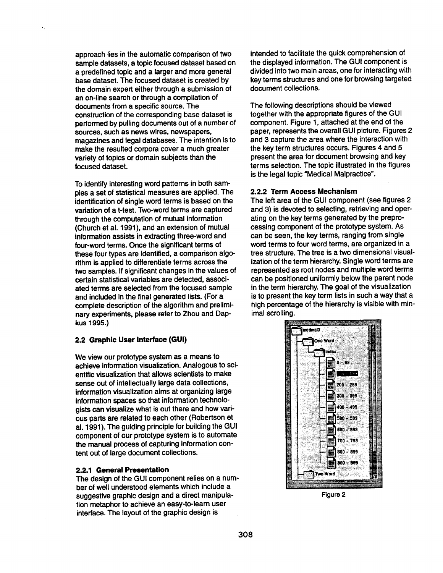approach lies in the automatic comparison of two sample datasets, a topic focused dataset based on a predefined topic and a larger and more general base dataset. The focused dataset is created by the domain expert either through a submission of an on-line search or through a compilation of documents from a specific source. The construction of the corresponding base dataset is performed by pulling documents out of a number of sources, such as news wires, newspapers, magazines and legal databases. The intention is to make the resulted corpora cover a much greater variety of topics or domain subjects than the focused dataset.

To identify interesting word patterns in both samples a set of statistical measures are applied. The identification of single word terms is based on the variation of a t-test. Two-word terms are captured through the computation of mutual information (Church et al. 1991), and an extension of mutual information assists in extracting three-word and four-word terms. Once the significant terms of these four types are identified, a comparison algorithm is applied to differentiate terms across the two samples. If significant changes in the values of certain statistical variables are detected, associated terms are selected from the focused sample and included in the final generated lists. (For a complete description of the algorithm and preliminary experiments, please refer to Zhou and Dapkus 1995.)

# **2.2 Graphic User Interface (GUI)**

We view our prototype system as a means to achieve information visualization. Analogous to scientific visualization that allows scientists to make sense out of intellectually large data collections, information visualization aims at organizing large information spaces so that information technologists can visualize what is out there and how various parts are related to each other (Robertson et al. 1991). The guiding principle for building the GUI component of our prototype system is to automate the manual process of capturing information content out of large document collections.

### **2.2.1 General Presentation**

The design of the GUI component relies on a number of well understood elements which include a suggestive graphic design and a direct manipulation metaphor to achieve an easy-to-learn user interface. The layout of the graphic design is

intended to facilitate the quick comprehension of the displayed information. The GUI component is divided into two main areas, one for interacting with key terms structures and one for browsing targeted document collections.

The following descriptions should be viewed together with the appropriate figures of the GUI component. Figure 1, attached at the end of the paper, represents the overall GUI picture. Figures 2 and 3 capture the area where the interaction with the key term structures occurs. Figures 4 and 5 present the area for document browsing and key terms selection. The topic illustrated in the figures is the legal topic "Medical Malpractice".

# **2.2.2 Term Access Mechanism**

The left area of the GUI component (see figures 2 and 3) is devoted to selecting, retrieving and operating on the key terms generated by the preprocessing component of the prototype system. As can be seen, the key terms, ranging from single word terms to four word terms, are organized in a tree structure. The tree is a two dimensional visualization of the term hierarchy. Single word terms are represented as root nodes and multiple word terms can be positioned uniformly below the parent node in the term hierarchy. The goal of the visualization is to present the key term lists in such a way that a high percentage of the hierarchy is visible with minimal scrolling.



Figure 2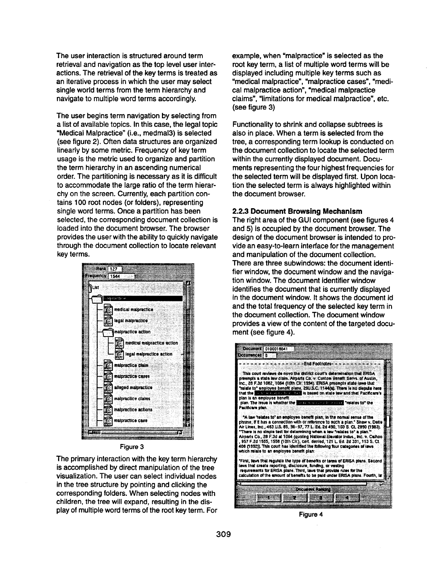The user interaction is structured around term retrieval and navigation as the top level user interactions. The retrieval of the key terms is treated as an iterative process in which the user may select single world terms from the term hierarchy and navigate to multiple word terms accordingly.

The user begins term navigation by selecting from a list of available topics. In this case, the legal topic "Medical Malpractice" (i.e., medmal3) is selected (see figure 2). Often data structures are organized linearly by some metric. Frequency of key term usage is the metric used to organize and partition the term hierarchy in an ascending numerical order. The partitioning is necessary as it is difficult to accommodate the large ratio of the term hierarchy on the screen. Currently, each partition contains 100 root nodes (or folders), representing single word terms. Once a partition has been selected, the corresponding document collection is loaded into the document browser. The browser provides the user with the ability to quickly navigate through the document collection to locate relevant key terms.



#### Figure 3

The primary interaction with the key term hierarchy is accomplished by direct manipulation of the tree visualization. The user can select individual nodes in the tree structure by pointing and clicking the corresponding folders. When selecting nodes with children, the tree will expand, resulting in the display of multiple word terms of the root key term. For Figure 4

example, when "malpractice" is selected as the root key term, a list of multiple word terms will be displayed including multiple key terms such as "medical malpractice", "malpractice cases", "medical malpractice action", "medical malpractice claims", "limitations for medical malpractice", etc. (see figure 3)

Functionality to shrink and collapse subtrees is also in place. When a term is selected from the tree, a corresponding term lookup is conducted on the document collection to locate the selected term within the currently displayed document. Documents representing the four highest frequencies for the selected term will be displayed first. Upon location the selected term is always highlighted within the document browser.

# **2.2.3 Document Browsing Mechanism**

The right area of the GUI component (see figures 4 and 5) is occupied by the document browser. The design of the document browser is intended to provide an easy-to-learn interface for the management and manipulation of the document collection. There are three subwindows: the document identifier window, the document window and the navigation window. The document identifier window identifies the document that is currently displayed in the document window. It shows the document id and the total frequency of the selected key term in the document collection. The document window provides a view of the content of the targeted document (see figure 4).

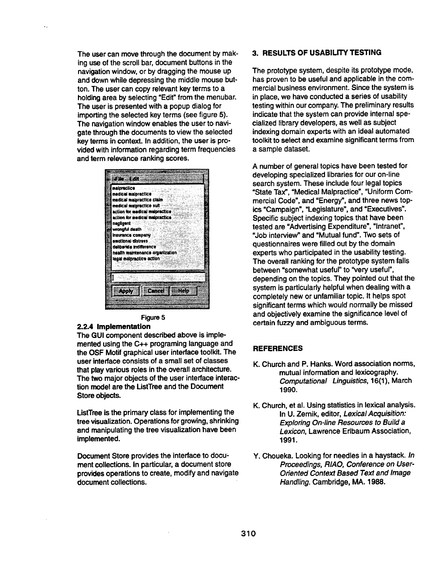The user can move through the document by making use of the scroll bar, document buttons in the navigation window, or by dragging the mouse up and down while depressing the middle mouse button. The user can copy relevant key terms to a holding area by selecting "Edit" from the menubar. The user is presented with a popup dialog for importing the selected key terms (see figure 5). The navigation window enables the user to navigate through the documents to view the selected key terms in context. In addition, the user is provided with information regarding term frequencies and term relevance ranking scores.

 $\ddot{\phantom{a}}$ 

| æle Edn                         |  |
|---------------------------------|--|
|                                 |  |
| maipractice                     |  |
| medical malpractice             |  |
| medical malpractice claim       |  |
| medical malpractice suit        |  |
| action for medical malpractice  |  |
| action for medical malpractica  |  |
| negligent                       |  |
|                                 |  |
| wronaful death                  |  |
| Insurance company               |  |
| emational distress              |  |
| dalibarate indifference         |  |
| haalin maintenance organization |  |
| legal malpractice action        |  |
|                                 |  |
|                                 |  |
|                                 |  |
|                                 |  |
|                                 |  |
| man<br>(ಕರ್ನಾಟ                  |  |
|                                 |  |
|                                 |  |
|                                 |  |

#### **Figure 5**

#### **2.2.4 Implementation**

The GUI component described above is implemented using the C++ programing language and the OSF Motif graphical user interface toolkit. The user interface consists of a small set of classes that play various roles in the overall architecture. The two major objects of the user interface interaction model are the ListTree and the Document Store objects.

ListTree is the primary class for implementing the tree visualization. Operations for growing, shrinking and manipulating the tree visualization have been implemented.

Document Store provides the interface to document collections. In particular, a document store provides operations to create, modify and navigate document collections.

# **3. RESULTS OF USABILITY TESTING**

The prototype system, despite its prototype mode, has proven to be useful and applicable in the commercial business environment. Since the system is in place, we have conducted a series of usability testing within our company. The preliminary results indicate that the system can provide internal specialized library developers, as well as subject indexing domain experts with an ideal automated toolkit to select and examine significant terms from a sample dataset.

A number of general topics have been tested for developing specialized libraries for our on-line search system. These include four legal topics "State Tax", "Medical Malpractice", "Uniform Commercial Code", and "Energy", and three news topics "Campaign", "Legislature", and "Executives". Specific subject indexing topics that have been tested are "Advertising Expenditure", "Intranet", "Job interview" and "Mutual fund". Two sets of questionnaires were filled out by the domain experts who participated in the usability testing. The overall ranking for the prototype system falls between "somewhat useful" to "very useful", depending on the topics. They pointed out that the system is particularly helpful when dealing with a completely new or unfamiliar topic. It helps spot significant terms which would normally be missed and objectively examine the significance level of certain fuzzy and ambiguous terms.

## **REFERENCES**

- K. Church and P. Hanks. Word association norms, mutual information and lexicography. *Computational Linguistics,* 16(1), March 1990.
- K. Church, et al. Using statistics in lexical analysis. In U. Zernik, editor, *Lexica/Acquisition: Exploring On-line Resources to Build a Lexicon,* Lawrence Erlbaum Association, 1991.
- Y. Choueka. Looking for needles in a haystack. *In Proceedings, RIAO, Conference on User-Oriented Context Based Text and Image Handling.* Cambridge, MA. 1988.